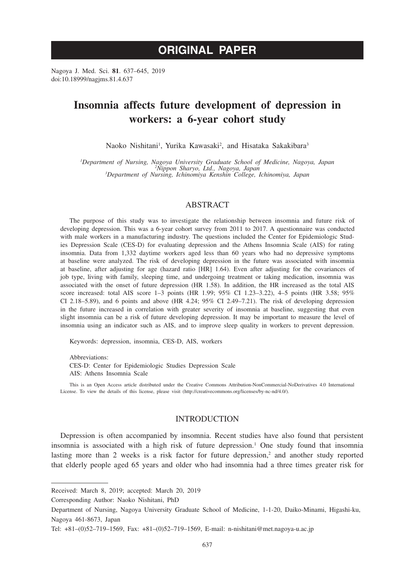# **ORIGINAL PAPER**

Nagoya J. Med. Sci. **81**. 637–645, 2019 doi:10.18999/nagjms.81.4.637

# **Insomnia affects future development of depression in workers: a 6-year cohort study**

Naoko Nishitani<sup>1</sup>, Yurika Kawasaki<sup>2</sup>, and Hisataka Sakakibara<sup>3</sup>

*1 Department of Nursing, Nagoya University Graduate School of Medicine, Nagoya, Japan <sup>2</sup> Nippon Sharyo, Ltd., Nagoya, Japan <sup>3</sup> Department of Nursing, Ichinomiya Kenshin College, Ichinomiya, Japan*

# ABSTRACT

The purpose of this study was to investigate the relationship between insomnia and future risk of developing depression. This was a 6-year cohort survey from 2011 to 2017. A questionnaire was conducted with male workers in a manufacturing industry. The questions included the Center for Epidemiologic Studies Depression Scale (CES-D) for evaluating depression and the Athens Insomnia Scale (AIS) for rating insomnia. Data from 1,332 daytime workers aged less than 60 years who had no depressive symptoms at baseline were analyzed. The risk of developing depression in the future was associated with insomnia at baseline, after adjusting for age (hazard ratio [HR] 1.64). Even after adjusting for the covariances of job type, living with family, sleeping time, and undergoing treatment or taking medication, insomnia was associated with the onset of future depression (HR 1.58). In addition, the HR increased as the total AIS score increased: total AIS score 1–3 points (HR 1.99; 95% CI 1.23–3.22), 4–5 points (HR 3.58; 95% CI 2.18–5.89), and 6 points and above (HR 4.24; 95% CI 2.49–7.21). The risk of developing depression in the future increased in correlation with greater severity of insomnia at baseline, suggesting that even slight insomnia can be a risk of future developing depression. It may be important to measure the level of insomnia using an indicator such as AIS, and to improve sleep quality in workers to prevent depression.

Keywords: depression, insomnia, CES-D, AIS, workers

Abbreviations: CES-D: Center for Epidemiologic Studies Depression Scale AIS: Athens Insomnia Scale

This is an Open Access article distributed under the Creative Commons Attribution-NonCommercial-NoDerivatives 4.0 International License. To view the details of this license, please visit (http://creativecommons.org/licenses/by-nc-nd/4.0/).

# INTRODUCTION

Depression is often accompanied by insomnia. Recent studies have also found that persistent insomnia is associated with a high risk of future depression.<sup>1</sup> One study found that insomnia lasting more than 2 weeks is a risk factor for future depression, $2$  and another study reported that elderly people aged 65 years and older who had insomnia had a three times greater risk for

Received: March 8, 2019; accepted: March 20, 2019

Corresponding Author: Naoko Nishitani, PhD

Department of Nursing, Nagoya University Graduate School of Medicine, 1-1-20, Daiko-Minami, Higashi-ku, Nagoya 461-8673, Japan

Tel: +81–(0)52–719–1569, Fax: +81–(0)52–719–1569, E-mail: n-nishitani@met.nagoya-u.ac.jp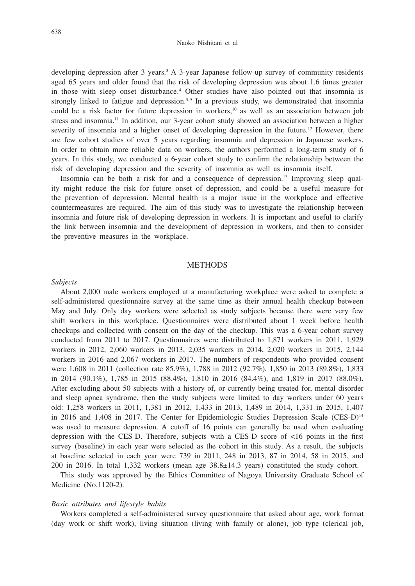developing depression after 3 years.3 A 3-year Japanese follow-up survey of community residents aged 65 years and older found that the risk of developing depression was about 1.6 times greater in those with sleep onset disturbance.<sup>4</sup> Other studies have also pointed out that insomnia is strongly linked to fatigue and depression.<sup>5-9</sup> In a previous study, we demonstrated that insomnia could be a risk factor for future depression in workers, $10$  as well as an association between job stress and insomnia.<sup>11</sup> In addition, our 3-year cohort study showed an association between a higher severity of insomnia and a higher onset of developing depression in the future.<sup>12</sup> However, there are few cohort studies of over 5 years regarding insomnia and depression in Japanese workers. In order to obtain more reliable data on workers, the authors performed a long-term study of 6 years. In this study, we conducted a 6-year cohort study to confirm the relationship between the risk of developing depression and the severity of insomnia as well as insomnia itself.

Insomnia can be both a risk for and a consequence of depression.13 Improving sleep quality might reduce the risk for future onset of depression, and could be a useful measure for the prevention of depression. Mental health is a major issue in the workplace and effective countermeasures are required. The aim of this study was to investigate the relationship between insomnia and future risk of developing depression in workers. It is important and useful to clarify the link between insomnia and the development of depression in workers, and then to consider the preventive measures in the workplace.

#### **METHODS**

#### *Subjects*

About 2,000 male workers employed at a manufacturing workplace were asked to complete a self-administered questionnaire survey at the same time as their annual health checkup between May and July. Only day workers were selected as study subjects because there were very few shift workers in this workplace. Questionnaires were distributed about 1 week before health checkups and collected with consent on the day of the checkup. This was a 6-year cohort survey conducted from 2011 to 2017. Questionnaires were distributed to 1,871 workers in 2011, 1,929 workers in 2012, 2,060 workers in 2013, 2,035 workers in 2014, 2,020 workers in 2015, 2,144 workers in 2016 and 2,067 workers in 2017. The numbers of respondents who provided consent were 1,608 in 2011 (collection rate 85.9%), 1,788 in 2012 (92.7%), 1,850 in 2013 (89.8%), 1,833 in 2014 (90.1%), 1,785 in 2015 (88.4%), 1,810 in 2016 (84.4%), and 1,819 in 2017 (88.0%). After excluding about 50 subjects with a history of, or currently being treated for, mental disorder and sleep apnea syndrome, then the study subjects were limited to day workers under 60 years old: 1,258 workers in 2011, 1,381 in 2012, 1,433 in 2013, 1,489 in 2014, 1,331 in 2015, 1,407 in 2016 and 1,408 in 2017. The Center for Epidemiologic Studies Depression Scale  $(CES-D)^{14}$ was used to measure depression. A cutoff of 16 points can generally be used when evaluating depression with the CES-D. Therefore, subjects with a CES-D score of <16 points in the first survey (baseline) in each year were selected as the cohort in this study. As a result, the subjects at baseline selected in each year were 739 in 2011, 248 in 2013, 87 in 2014, 58 in 2015, and 200 in 2016. In total 1,332 workers (mean age 38.8±14.3 years) constituted the study cohort.

This study was approved by the Ethics Committee of Nagoya University Graduate School of Medicine (No.1120-2).

#### *Basic attributes and lifestyle habits*

Workers completed a self-administered survey questionnaire that asked about age, work format (day work or shift work), living situation (living with family or alone), job type (clerical job,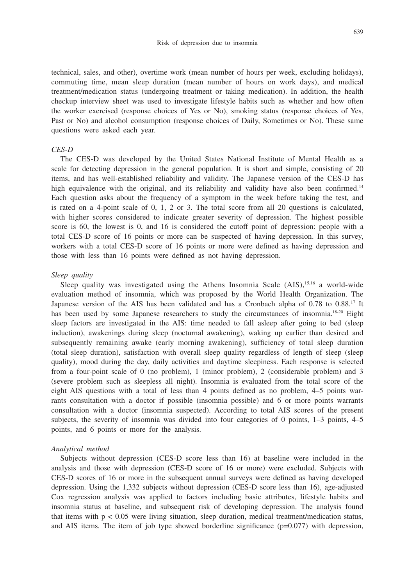#### Risk of depression due to insomnia

technical, sales, and other), overtime work (mean number of hours per week, excluding holidays), commuting time, mean sleep duration (mean number of hours on work days), and medical treatment/medication status (undergoing treatment or taking medication). In addition, the health checkup interview sheet was used to investigate lifestyle habits such as whether and how often the worker exercised (response choices of Yes or No), smoking status (response choices of Yes, Past or No) and alcohol consumption (response choices of Daily, Sometimes or No). These same questions were asked each year.

#### *CES-D*

The CES-D was developed by the United States National Institute of Mental Health as a scale for detecting depression in the general population. It is short and simple, consisting of 20 items, and has well-established reliability and validity. The Japanese version of the CES-D has high equivalence with the original, and its reliability and validity have also been confirmed.<sup>14</sup> Each question asks about the frequency of a symptom in the week before taking the test, and is rated on a 4-point scale of 0, 1, 2 or 3. The total score from all 20 questions is calculated, with higher scores considered to indicate greater severity of depression. The highest possible score is 60, the lowest is 0, and 16 is considered the cutoff point of depression: people with a total CES-D score of 16 points or more can be suspected of having depression. In this survey, workers with a total CES-D score of 16 points or more were defined as having depression and those with less than 16 points were defined as not having depression.

#### *Sleep quality*

Sleep quality was investigated using the Athens Insomnia Scale  $(AB)$ ,<sup>15,16</sup> a world-wide evaluation method of insomnia, which was proposed by the World Health Organization. The Japanese version of the AIS has been validated and has a Cronbach alpha of 0.78 to 0.88.<sup>17</sup> It has been used by some Japanese researchers to study the circumstances of insomnia.<sup>18-20</sup> Eight sleep factors are investigated in the AIS: time needed to fall asleep after going to bed (sleep induction), awakenings during sleep (nocturnal awakening), waking up earlier than desired and subsequently remaining awake (early morning awakening), sufficiency of total sleep duration (total sleep duration), satisfaction with overall sleep quality regardless of length of sleep (sleep quality), mood during the day, daily activities and daytime sleepiness. Each response is selected from a four-point scale of 0 (no problem), 1 (minor problem), 2 (considerable problem) and 3 (severe problem such as sleepless all night). Insomnia is evaluated from the total score of the eight AIS questions with a total of less than 4 points defined as no problem, 4–5 points warrants consultation with a doctor if possible (insomnia possible) and 6 or more points warrants consultation with a doctor (insomnia suspected). According to total AIS scores of the present subjects, the severity of insomnia was divided into four categories of 0 points, 1–3 points, 4–5 points, and 6 points or more for the analysis.

#### *Analytical method*

Subjects without depression (CES-D score less than 16) at baseline were included in the analysis and those with depression (CES-D score of 16 or more) were excluded. Subjects with CES-D scores of 16 or more in the subsequent annual surveys were defined as having developed depression. Using the 1,332 subjects without depression (CES-D score less than 16), age-adjusted Cox regression analysis was applied to factors including basic attributes, lifestyle habits and insomnia status at baseline, and subsequent risk of developing depression. The analysis found that items with p < 0.05 were living situation, sleep duration, medical treatment/medication status, and AIS items. The item of job type showed borderline significance  $(p=0.077)$  with depression,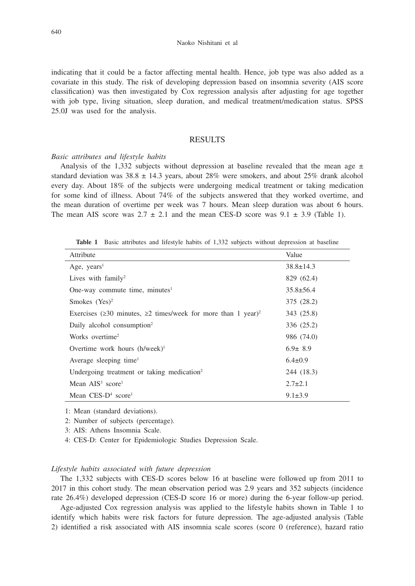indicating that it could be a factor affecting mental health. Hence, job type was also added as a covariate in this study. The risk of developing depression based on insomnia severity (AIS score classification) was then investigated by Cox regression analysis after adjusting for age together with job type, living situation, sleep duration, and medical treatment/medication status. SPSS 25.0J was used for the analysis.

# **RESULTS**

## *Basic attributes and lifestyle habits*

Analysis of the 1,332 subjects without depression at baseline revealed that the mean age  $\pm$ standard deviation was  $38.8 \pm 14.3$  years, about  $28\%$  were smokers, and about  $25\%$  drank alcohol every day. About 18% of the subjects were undergoing medical treatment or taking medication for some kind of illness. About 74% of the subjects answered that they worked overtime, and the mean duration of overtime per week was 7 hours. Mean sleep duration was about 6 hours. The mean AIS score was  $2.7 \pm 2.1$  and the mean CES-D score was  $9.1 \pm 3.9$  (Table 1).

**Table 1** Basic attributes and lifestyle habits of 1,332 subjects without depression at baseline

| Attribute                                                                             | Value           |
|---------------------------------------------------------------------------------------|-----------------|
| Age, $years1$                                                                         | $38.8 \pm 14.3$ |
| Lives with $family2$                                                                  | 829 (62.4)      |
| One-way commute time, minutes $1$                                                     | $35.8 \pm 56.4$ |
| Smokes $(Yes)^2$                                                                      | 375 (28.2)      |
| Exercises ( $\geq$ 30 minutes, $\geq$ 2 times/week for more than 1 year) <sup>2</sup> | 343 (25.8)      |
| Daily alcohol consumption <sup>2</sup>                                                | 336 (25.2)      |
| Works overtime <sup>2</sup>                                                           | 986 (74.0)      |
| Overtime work hours $(h/week)^1$                                                      | $6.9 \pm 8.9$   |
| Average sleeping time <sup>1</sup>                                                    | $6.4 \pm 0.9$   |
| Undergoing treatment or taking medication <sup>2</sup>                                | 244 (18.3)      |
| Mean $AIS3$ score <sup>1</sup>                                                        | $2.7 \pm 2.1$   |
| Mean $CES-D4 score1$                                                                  | $9.1 \pm 3.9$   |

1: Mean (standard deviations).

2: Number of subjects (percentage).

3: AIS: Athens Insomnia Scale.

4: CES-D: Center for Epidemiologic Studies Depression Scale.

# *Lifestyle habits associated with future depression*

The 1,332 subjects with CES-D scores below 16 at baseline were followed up from 2011 to 2017 in this cohort study. The mean observation period was 2.9 years and 352 subjects (incidence rate 26.4%) developed depression (CES-D score 16 or more) during the 6-year follow-up period.

Age-adjusted Cox regression analysis was applied to the lifestyle habits shown in Table 1 to identify which habits were risk factors for future depression. The age-adjusted analysis (Table 2) identified a risk associated with AIS insomnia scale scores (score 0 (reference), hazard ratio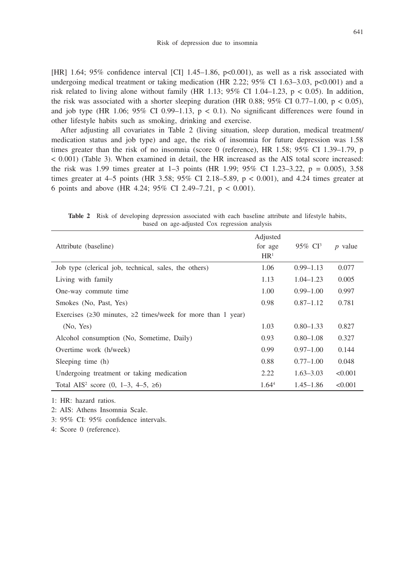[HR] 1.64; 95% confidence interval [CI] 1.45–1.86, p<0.001), as well as a risk associated with undergoing medical treatment or taking medication (HR 2.22;  $95\%$  CI 1.63–3.03, p<0.001) and a risk related to living alone without family (HR 1.13; 95% CI 1.04–1.23, p < 0.05). In addition, the risk was associated with a shorter sleeping duration (HR 0.88; 95% CI 0.77–1.00,  $p < 0.05$ ), and job type (HR 1.06; 95% CI 0.99–1.13,  $p < 0.1$ ). No significant differences were found in other lifestyle habits such as smoking, drinking and exercise.

After adjusting all covariates in Table 2 (living situation, sleep duration, medical treatment/ medication status and job type) and age, the risk of insomnia for future depression was 1.58 times greater than the risk of no insomnia (score 0 (reference), HR 1.58; 95% CI 1.39–1.79, p < 0.001) (Table 3). When examined in detail, the HR increased as the AIS total score increased: the risk was 1.99 times greater at 1–3 points (HR 1.99; 95% CI 1.23–3.22,  $p = 0.005$ ), 3.58 times greater at  $4-5$  points (HR 3.58; 95% CI 2.18–5.89,  $p < 0.001$ ), and 4.24 times greater at 6 points and above (HR 4.24; 95% CI 2.49–7.21, p < 0.001).

**Table 2** Risk of developing depression associated with each baseline attribute and lifestyle habits, based on age-adjusted Cox regression analysis

| Attribute (baseline)                                                     | Adjusted<br>for age<br>HR <sup>1</sup> | 95\% $CI3$    | $p$ value |
|--------------------------------------------------------------------------|----------------------------------------|---------------|-----------|
| Job type (clerical job, technical, sales, the others)                    | 1.06                                   | $0.99 - 1.13$ | 0.077     |
| Living with family                                                       | 1.13                                   | $1.04 - 1.23$ | 0.005     |
| One-way commute time                                                     | 1.00                                   | $0.99 - 1.00$ | 0.997     |
| Smokes (No, Past, Yes)                                                   | 0.98                                   | $0.87 - 1.12$ | 0.781     |
| Exercises ( $\geq$ 30 minutes, $\geq$ 2 times/week for more than 1 year) |                                        |               |           |
| (No, Yes)                                                                | 1.03                                   | $0.80 - 1.33$ | 0.827     |
| Alcohol consumption (No, Sometime, Daily)                                | 0.93                                   | $0.80 - 1.08$ | 0.327     |
| Overtime work (h/week)                                                   | 0.99                                   | $0.97 - 1.00$ | 0.144     |
| Sleeping time (h)                                                        | 0.88                                   | $0.77 - 1.00$ | 0.048     |
| Undergoing treatment or taking medication                                | 2.22                                   | $1.63 - 3.03$ | < 0.001   |
| Total AIS <sup>2</sup> score (0, 1–3, 4–5, $\geq 6$ )                    | 1.64 <sup>4</sup>                      | $1.45 - 1.86$ | < 0.001   |

1: HR: hazard ratios.

2: AIS: Athens Insomnia Scale.

3: 95% CI: 95% confidence intervals.

4: Score 0 (reference).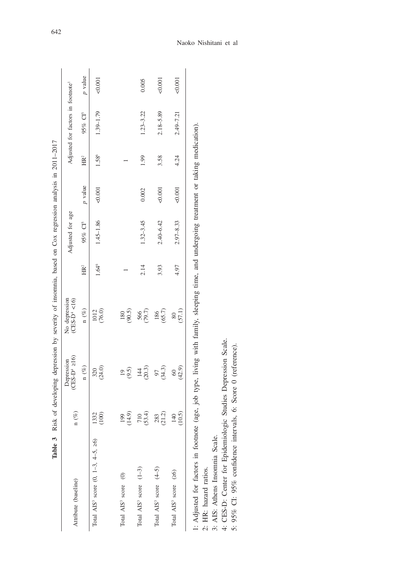|                                                  |               |                             | Table 3 Risk of developing depression by severity of insomnia, based on Cox regression analysis in 2011-2017 |                 |                     |                |                 |                                               |                |
|--------------------------------------------------|---------------|-----------------------------|--------------------------------------------------------------------------------------------------------------|-----------------|---------------------|----------------|-----------------|-----------------------------------------------|----------------|
| Attribute (baseline)                             | $n(\%)$       | $(CES-D+216)$<br>Depression | $(CES-D4 < 16)$<br>No depression                                                                             |                 | Adjusted for age    |                |                 | Adjusted for factors in footnote <sup>1</sup> |                |
|                                                  |               | $n(\%)$                     | n $(\%)$                                                                                                     | HR <sup>2</sup> | 95% CI <sup>5</sup> | <i>p</i> value | HR <sup>2</sup> | 95% CI <sup>5</sup>                           | <i>p</i> value |
| Total AIS <sup>3</sup> score $(0, 1-3, 4-5, 26)$ | 1332<br>(100) | (24.0)<br>320               | (76.0)<br>1012                                                                                               | $1.64^6$        | 1.45-1.86           | 0.001          | 1.586           | $1.39 - 1.79$                                 | < 0.001        |
| Total AIS <sup>3</sup> score (0)                 | (14.9)<br>199 | (9.5)<br>$\overline{19}$    | (90.5)<br>180                                                                                                |                 |                     |                |                 |                                               |                |
| Total $AIS3$ score $(1-3)$                       | (53.4)<br>710 | (20.3)<br>144               | 566<br>(79.7)                                                                                                | 2.14            | $1.32 - 3.45$       | 0.002          | 1.99            | $1.23 - 3.22$                                 | 0.005          |
| Total $AIS3$ score $(4-5)$                       | (21.2)<br>283 | (34.3)<br>97                | (65.7)<br>186                                                                                                | 3.93            | $2.40 - 6.42$       | 0.001          | 3.58            | $2.18 - 5.89$                                 | 0.001          |
| Total AIS <sup>3</sup> score (26)                | (10.5)<br>140 | (42.9)<br>$\degree$         | (57.1)<br>80                                                                                                 | 4.97            | $2.97 - 8.33$       | 0.001          | 4.24            | 2.49-7.21                                     | &0.001         |
|                                                  |               |                             |                                                                                                              |                 |                     |                |                 |                                               |                |

1: Adjusted for factors in footnote (age, job type, living with family, sleeping time, and undergoing treatment or taking medication).<br>2: HR: hazard ratios.<br>3: AIS: Athens Insomnia Scale.<br>4: CES-D: Center for Epidemiologic 1: Adjusted for factors in footnote (age, job type, living with family, sleeping time, and undergoing treatment or taking medication). 2: HR: hazard ratios.

3: AIS: Athens Insomnia Scale.

4: CES-D: Center for Epidemiologic Studies Depression Scale.

5: 95% CI: 95% confidence intervals, 6: Score 0 (reference).

# Naoko Nishitani et al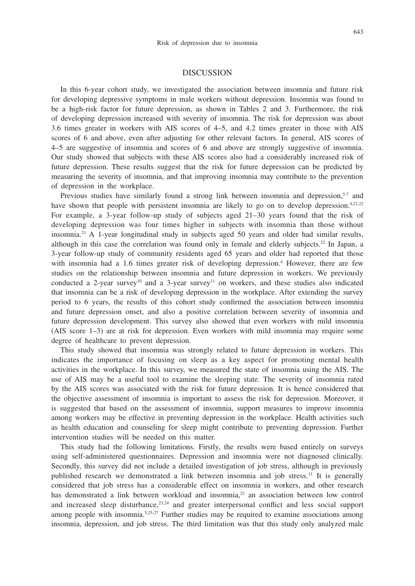## DISCUSSION

In this 6-year cohort study, we investigated the association between insomnia and future risk for developing depressive symptoms in male workers without depression. Insomnia was found to be a high-risk factor for future depression, as shown in Tables 2 and 3. Furthermore, the risk of developing depression increased with severity of insomnia. The risk for depression was about 3.6 times greater in workers with AIS scores of 4–5, and 4.2 times greater in those with AIS scores of 6 and above, even after adjusting for other relevant factors. In general, AIS scores of 4–5 are suggestive of insomnia and scores of 6 and above are strongly suggestive of insomnia. Our study showed that subjects with these AIS scores also had a considerably increased risk of future depression. These results suggest that the risk for future depression can be predicted by measuring the severity of insomnia, and that improving insomnia may contribute to the prevention of depression in the workplace.

Previous studies have similarly found a strong link between insomnia and depression, $5-7$  and have shown that people with persistent insomnia are likely to go on to develop depression.<sup>4,21,22</sup> For example, a 3-year follow-up study of subjects aged 21–30 years found that the risk of developing depression was four times higher in subjects with insomnia than those without insomnia.<sup>21</sup> A 1-year longitudinal study in subjects aged 50 years and older had similar results, although in this case the correlation was found only in female and elderly subjects.<sup>22</sup> In Japan, a 3-year follow-up study of community residents aged 65 years and older had reported that those with insomnia had a 1.6 times greater risk of developing depression.<sup>4</sup> However, there are few studies on the relationship between insomnia and future depression in workers. We previously conducted a 2-year survey<sup>10</sup> and a 3-year survey<sup>11</sup> on workers, and these studies also indicated that insomnia can be a risk of developing depression in the workplace. After extending the survey period to 6 years, the results of this cohort study confirmed the association between insomnia and future depression onset, and also a positive correlation between severity of insomnia and future depression development. This survey also showed that even workers with mild insomnia (AIS score 1–3) are at risk for depression. Even workers with mild insomnia may require some degree of healthcare to prevent depression.

This study showed that insomnia was strongly related to future depression in workers. This indicates the importance of focusing on sleep as a key aspect for promoting mental health activities in the workplace. In this survey, we measured the state of insomnia using the AIS. The use of AIS may be a useful tool to examine the sleeping state. The severity of insomnia rated by the AIS scores was associated with the risk for future depression. It is hence considered that the objective assessment of insomnia is important to assess the risk for depression. Moreover, it is suggested that based on the assessment of insomnia, support measures to improve insomnia among workers may be effective in preventing depression in the workplace. Health activities such as health education and counseling for sleep might contribute to preventing depression. Further intervention studies will be needed on this matter.

This study had the following limitations. Firstly, the results were based entirely on surveys using self-administered questionnaires. Depression and insomnia were not diagnosed clinically. Secondly, this survey did not include a detailed investigation of job stress, although in previously published research we demonstrated a link between insomnia and job stress.<sup>11</sup> It is generally considered that job stress has a considerable effect on insomnia in workers, and other research has demonstrated a link between workload and insomnia,<sup>23</sup> an association between low control and increased sleep disturbance,<sup>23,24</sup> and greater interpersonal conflict and less social support among people with insomnia.<sup>5,25-27</sup> Further studies may be required to examine associations among insomnia, depression, and job stress. The third limitation was that this study only analyzed male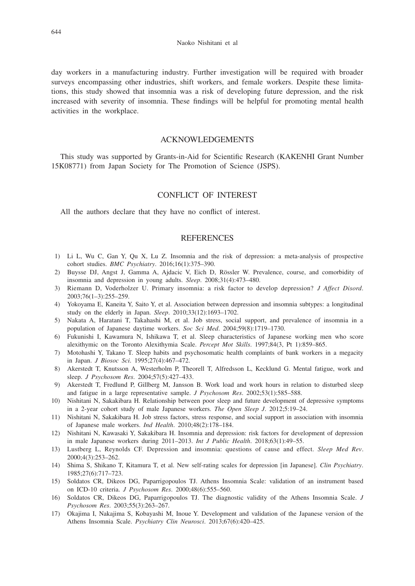day workers in a manufacturing industry. Further investigation will be required with broader surveys encompassing other industries, shift workers, and female workers. Despite these limitations, this study showed that insomnia was a risk of developing future depression, and the risk increased with severity of insomnia. These findings will be helpful for promoting mental health activities in the workplace.

# ACKNOWLEDGEMENTS

This study was supported by Grants-in-Aid for Scientific Research (KAKENHI Grant Number 15K08771) from Japan Society for The Promotion of Science (JSPS).

# CONFLICT OF INTEREST

All the authors declare that they have no conflict of interest.

# **REFERENCES**

- 1) Li L, Wu C, Gan Y, Qu X, Lu Z. Insomnia and the risk of depression: a meta-analysis of prospective cohort studies. *BMC Psychiatry*. 2016;16(1):375–390.
- 2) Buysse DJ, Angst J, Gamma A, Ajdacic V, Eich D, Rössler W. Prevalence, course, and comorbidity of insomnia and depression in young adults. *Sleep*. 2008;31(4):473–480.
- 3) Riemann D, Voderholzer U. Primary insomnia: a risk factor to develop depression? *J Affect Disord*. 2003;76(1–3):255–259.
- 4) Yokoyama E, Kaneita Y, Saito Y, et al. Association between depression and insomnia subtypes: a longitudinal study on the elderly in Japan. *Sleep*. 2010;33(12):1693–1702.
- 5) Nakata A, Haratani T, Takahashi M, et al. Job stress, social support, and prevalence of insomnia in a population of Japanese daytime workers. *Soc Sci Med*. 2004;59(8):1719–1730.
- 6) Fukunishi I, Kawamura N, Ishikawa T, et al. Sleep characteristics of Japanese working men who score alexithymic on the Toronto Alexithymia Scale. *Percept Mot Skills*. 1997;84(3, Pt 1):859–865.
- 7) Motohashi Y, Takano T. Sleep habits and psychosomatic health complaints of bank workers in a megacity in Japan. *J Biosoc Sci*. 1995;27(4):467–472.
- 8) Akerstedt T, Knutsson A, Westerholm P, Theorell T, Alfredsson L, Kecklund G. Mental fatigue, work and sleep. *J Psychosom Res*. 2004;57(5):427–433.
- 9) Akerstedt T, Fredlund P, Gillberg M, Jansson B. Work load and work hours in relation to disturbed sleep and fatigue in a large representative sample. *J Psychosom Res*. 2002;53(1):585–588.
- 10) Nishitani N, Sakakibara H. Relationship between poor sleep and future development of depressive symptoms in a 2-year cohort study of male Japanese workers. *The Open Sleep J*. 2012;5:19–24.
- 11) Nishitani N, Sakakibara H. Job stress factors, stress response, and social support in association with insomnia of Japanese male workers. *Ind Health*. 2010;48(2):178–184.
- 12) Nishitani N, Kawasaki Y, Sakakibara H. Insomnia and depression: risk factors for development of depression in male Japanese workers during 2011–2013. *Int J Public Health*. 2018;63(1):49–55.
- 13) Lustberg L, Reynolds CF. Depression and insomnia: questions of cause and effect. *Sleep Med Rev*. 2000;4(3):253–262.
- 14) Shima S, Shikano T, Kitamura T, et al. New self-rating scales for depression [in Japanese]. *Clin Psychiatry*. 1985;27(6):717–723.
- 15) Soldatos CR, Dikeos DG, Paparrigopoulos TJ. Athens Insomnia Scale: validation of an instrument based on ICD-10 criteria. *J Psychosom Res*. 2000;48(6):555–560.
- 16) Soldatos CR, Dikeos DG, Paparrigopoulos TJ. The diagnostic validity of the Athens Insomnia Scale. *J Psychosom Res*. 2003;55(3):263–267.
- 17) Okajima I, Nakajima S, Kobayashi M, Inoue Y. Development and validation of the Japanese version of the Athens Insomnia Scale. *Psychiatry Clin Neurosci*. 2013;67(6):420–425.